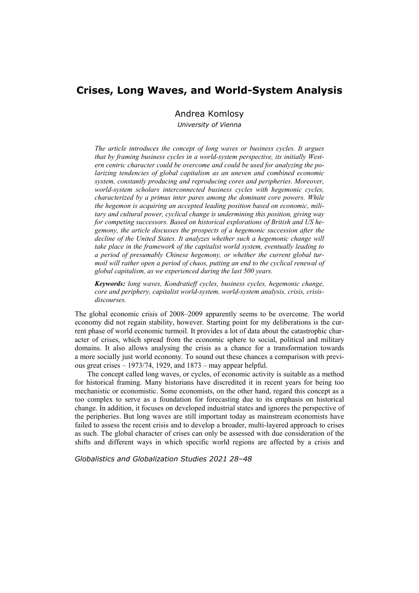# **Crises, Long Waves, and World-System Analysis**

Andrea Komlosy

*University of Vienna* 

*The article introduces the concept of long waves or business cycles. It argues that by framing business cycles in a world-system perspective, its initially Western centric character could be overcome and could be used for analyzing the polarizing tendencies of global capitalism as an uneven and combined economic system, constantly producing and reproducing cores and peripheries. Moreover, world-system scholars interconnected business cycles with hegemonic cycles, characterized by a primus inter pares among the dominant core powers. While the hegemon is acquiring an accepted leading position based on economic, military and cultural power, cyclical change is undermining this position, giving way for competing successors. Based on historical explorations of British and US hegemony, the article discusses the prospects of a hegemonic succession after the decline of the United States. It analyzes whether such a hegemonic change will take place in the framework of the capitalist world system, eventually leading to a period of presumably Chinese hegemony, or whether the current global tur*moil will rather open a period of chaos, putting an end to the cyclical renewal of *global capitalism, as we experienced during the last 500 years.* 

*Keywords: long waves, Kondratieff cycles, business cycles, hegemonic change, core and periphery, capitalist world-system, world-system analysis, crisis, crisisdiscourses.* 

The global economic crisis of 2008–2009 apparently seems to be overcome. The world economy did not regain stability, however. Starting point for my deliberations is the current phase of world economic turmoil. It provides a lot of data about the catastrophic character of crises, which spread from the economic sphere to social, political and military domains. It also allows analysing the crisis as a chance for a transformation towards a more socially just world economy. To sound out these chances a comparison with previous great crises  $-1973/74$ , 1929, and  $1873 -$  may appear helpful.

The concept called long waves, or cycles, of economic activity is suitable as a method for historical framing. Many historians have discredited it in recent years for being too mechanistic or economistic. Some economists, on the other hand, regard this concept as a too complex to serve as a foundation for forecasting due to its emphasis on historical change. In addition, it focuses on developed industrial states and ignores the perspective of the peripheries. But long waves are still important today as mainstream economists have failed to assess the recent crisis and to develop a broader, multi-layered approach to crises as such. The global character of crises can only be assessed with due consideration of the shifts and different ways in which specific world regions are affected by a crisis and

*Globalistics and Globalization Studies 2021 28–48*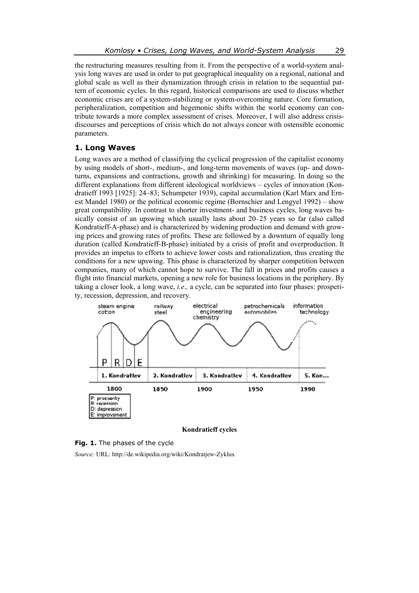the restructuring measures resulting from it. From the perspective of a world-system analysis long waves are used in order to put geographical inequality on a regional, national and global scale as well as their dynamization through crisis in relation to the sequential pattern of economic cycles. In this regard, historical comparisons are used to discuss whether economic crises are of a system-stabilizing or system-overcoming nature. Core formation, peripheralization, competition and hegemonic shifts within the world economy can contribute towards a more complex assessment of crises. Moreover, I will also address crisisdiscourses and perceptions of crisis which do not always concur with ostensible economic parameters.

## **1. Long Waves**

Long waves are a method of classifying the cyclical progression of the capitalist economy by using models of short-, medium-, and long-term movements of waves (up- and downturns, expansions and contractions, growth and shrinking) for measuring. In doing so the different explanations from different ideological worldviews – cycles of innovation (Kondratieff 1993 [1925]: 24–83; Schumpeter 1939), capital accumulation (Karl Marx and Ernest Mandel 1980) or the political economic regime (Bornschier and Lengyel 1992) – show great compatibility. In contrast to shorter investment- and business cycles, long waves basically consist of an upswing which usually lasts about 20–25 years so far (also called Kondratieff-A-phase) and is characterized by widening production and demand with growing prices and growing rates of profits. These are followed by a downturn of equally long duration (called Kondratieff-B-phase) initiated by a crisis of profit and overproduction. It provides an impetus to efforts to achieve lower costs and rationalization, thus creating the conditions for a new upswing. This phase is characterized by sharper competition between companies, many of which cannot hope to survive. The fall in prices and profits causes a flight into financial markets, opening a new role for business locations in the periphery. By taking a closer look, a long wave, *i.e*.*,* a cycle, can be separated into four phases: prosperity, recession, depression, and recovery.



**Kondratieff cycles** 



*Source:* URL: http://de.wikipedia.org/wiki/Kondratjew-Zyklus*.*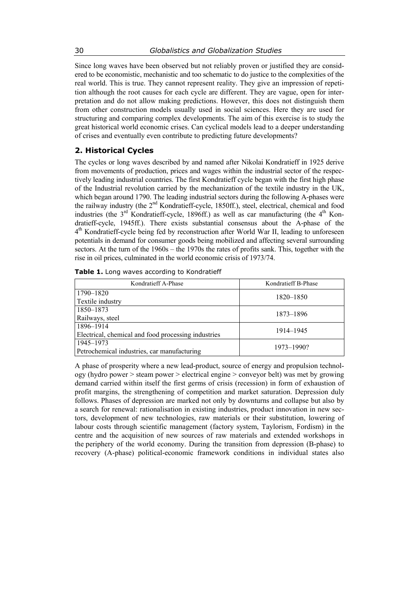Since long waves have been observed but not reliably proven or justified they are considered to be economistic, mechanistic and too schematic to do justice to the complexities of the real world. This is true. They cannot represent reality. They give an impression of repetition although the root causes for each cycle are different. They are vague, open for interpretation and do not allow making predictions. However, this does not distinguish them from other construction models usually used in social sciences. Here they are used for structuring and comparing complex developments. The aim of this exercise is to study the great historical world economic crises. Can cyclical models lead to a deeper understanding of crises and eventually even contribute to predicting future developments?

# **2. Historical Cycles**

The cycles or long waves described by and named after Nikolai Kondratieff in 1925 derive from movements of production, prices and wages within the industrial sector of the respectively leading industrial countries. The first Kondratieff cycle began with the first high phase of the Industrial revolution carried by the mechanization of the textile industry in the UK, which began around 1790. The leading industrial sectors during the following A-phases were the railway industry (the 2<sup>nd</sup> Kondratieff-cycle, 1850ff.), steel, electrical, chemical and food industries (the  $3<sup>rd</sup>$  Kondratieff-cycle, 1896ff.) as well as car manufacturing (the  $4<sup>th</sup>$  Kondratieff-cycle, 1945ff.). There exists substantial consensus about the A-phase of the  $4<sup>th</sup>$  Kondratieff-cycle being fed by reconstruction after World War II, leading to unforeseen potentials in demand for consumer goods being mobilized and affecting several surrounding sectors. At the turn of the 1960s – the 1970s the rates of profits sank. This, together with the rise in oil prices, culminated in the world economic crisis of 1973/74.

| Kondratieff A-Phase                                 | Kondratieff B-Phase |
|-----------------------------------------------------|---------------------|
| 1790-1820                                           | 1820-1850           |
| Textile industry                                    |                     |
| 1850–1873                                           | 1873-1896           |
| Railways, steel                                     |                     |
| 1896-1914                                           | 1914–1945           |
| Electrical, chemical and food processing industries |                     |
| 1945–1973                                           | 1973-1990?          |
| Petrochemical industries, car manufacturing         |                     |

|  |  |  |  |  | Table 1. Long waves according to Kondratieff |
|--|--|--|--|--|----------------------------------------------|
|--|--|--|--|--|----------------------------------------------|

A phase of prosperity where a new lead-product, source of energy and propulsion technology (hydro power > steam power > electrical engine > conveyor belt) was met by growing demand carried within itself the first germs of crisis (recession) in form of exhaustion of profit margins, the strengthening of competition and market saturation. Depression duly follows. Phases of depression are marked not only by downturns and collapse but also by a search for renewal: rationalisation in existing industries, product innovation in new sectors, development of new technologies, raw materials or their substitution, lowering of labour costs through scientific management (factory system, Taylorism, Fordism) in the centre and the acquisition of new sources of raw materials and extended workshops in the periphery of the world economy. During the transition from depression (B-phase) to recovery (A-phase) political-economic framework conditions in individual states also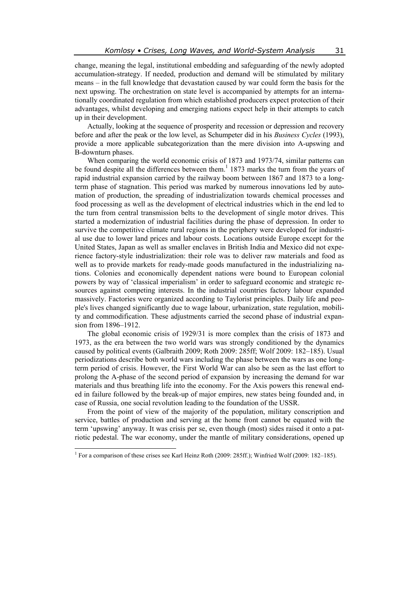change, meaning the legal, institutional embedding and safeguarding of the newly adopted accumulation-strategy. If needed, production and demand will be stimulated by military means – in the full knowledge that devastation caused by war could form the basis for the next upswing. The orchestration on state level is accompanied by attempts for an internationally coordinated regulation from which established producers expect protection of their advantages, whilst developing and emerging nations expect help in their attempts to catch up in their development.

Actually, looking at the sequence of prosperity and recession or depression and recovery before and after the peak or the low level, as Schumpeter did in his *Business Cycles* (1993), provide a more applicable subcategorization than the mere division into A-upswing and B-downturn phases.

When comparing the world economic crisis of 1873 and 1973/74, similar patterns can be found despite all the differences between them.<sup>1</sup> 1873 marks the turn from the years of rapid industrial expansion carried by the railway boom between 1867 and 1873 to a longterm phase of stagnation. This period was marked by numerous innovations led by automation of production, the spreading of industrialization towards chemical processes and food processing as well as the development of electrical industries which in the end led to the turn from central transmission belts to the development of single motor drives. This started a modernization of industrial facilities during the phase of depression. In order to survive the competitive climate rural regions in the periphery were developed for industrial use due to lower land prices and labour costs. Locations outside Europe except for the United States, Japan as well as smaller enclaves in British India and Mexico did not experience factory-style industrialization: their role was to deliver raw materials and food as well as to provide markets for ready-made goods manufactured in the industrializing nations. Colonies and economically dependent nations were bound to European colonial powers by way of 'classical imperialism' in order to safeguard economic and strategic resources against competing interests. In the industrial countries factory labour expanded massively. Factories were organized according to Taylorist principles. Daily life and people's lives changed significantly due to wage labour, urbanization, state regulation, mobility and commodification. These adjustments carried the second phase of industrial expansion from 1896–1912.

The global economic crisis of 1929/31 is more complex than the crisis of 1873 and 1973, as the era between the two world wars was strongly conditioned by the dynamics caused by political events (Galbraith 2009; Roth 2009: 285ff; Wolf 2009: 182–185). Usual periodizations describe both world wars including the phase between the wars as one longterm period of crisis. However, the First World War can also be seen as the last effort to prolong the A-phase of the second period of expansion by increasing the demand for war materials and thus breathing life into the economy. For the Axis powers this renewal ended in failure followed by the break-up of major empires, new states being founded and, in case of Russia, one social revolution leading to the foundation of the USSR.

From the point of view of the majority of the population, military conscription and service, battles of production and serving at the home front cannot be equated with the term 'upswing' anyway. It was crisis per se, even though (most) sides raised it onto a patriotic pedestal. The war economy, under the mantle of military considerations, opened up

 1 For a comparison of these crises see Karl Heinz Roth (2009: 285ff.); Winfried Wolf (2009: 182–185).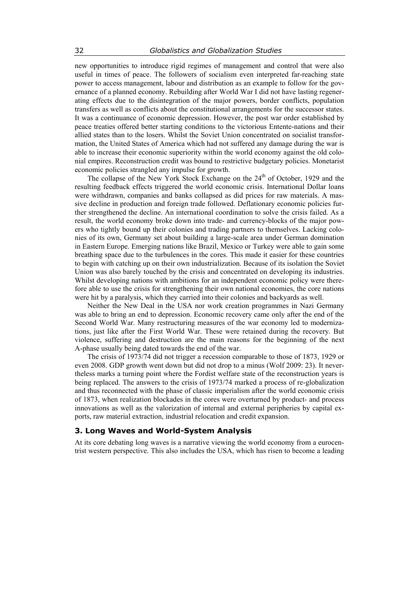new opportunities to introduce rigid regimes of management and control that were also useful in times of peace. The followers of socialism even interpreted far-reaching state power to access management, labour and distribution as an example to follow for the governance of a planned economy. Rebuilding after World War I did not have lasting regenerating effects due to the disintegration of the major powers, border conflicts, population transfers as well as conflicts about the constitutional arrangements for the successor states. It was a continuance of economic depression. However, the post war order established by peace treaties offered better starting conditions to the victorious Entente-nations and their allied states than to the losers. Whilst the Soviet Union concentrated on socialist transformation, the United States of America which had not suffered any damage during the war is able to increase their economic superiority within the world economy against the old colonial empires. Reconstruction credit was bound to restrictive budgetary policies. Monetarist economic policies strangled any impulse for growth.

The collapse of the New York Stock Exchange on the  $24<sup>th</sup>$  of October, 1929 and the resulting feedback effects triggered the world economic crisis. International Dollar loans were withdrawn, companies and banks collapsed as did prices for raw materials. A massive decline in production and foreign trade followed. Deflationary economic policies further strengthened the decline. An international coordination to solve the crisis failed. As a result, the world economy broke down into trade- and currency-blocks of the major powers who tightly bound up their colonies and trading partners to themselves. Lacking colonies of its own, Germany set about building a large-scale area under German domination in Eastern Europe. Emerging nations like Brazil, Mexico or Turkey were able to gain some breathing space due to the turbulences in the cores. This made it easier for these countries to begin with catching up on their own industrialization. Because of its isolation the Soviet Union was also barely touched by the crisis and concentrated on developing its industries. Whilst developing nations with ambitions for an independent economic policy were therefore able to use the crisis for strengthening their own national economies, the core nations were hit by a paralysis, which they carried into their colonies and backyards as well.

Neither the New Deal in the USA nor work creation programmes in Nazi Germany was able to bring an end to depression. Economic recovery came only after the end of the Second World War. Many restructuring measures of the war economy led to modernizations, just like after the First World War. These were retained during the recovery. But violence, suffering and destruction are the main reasons for the beginning of the next A-phase usually being dated towards the end of the war.

The crisis of 1973/74 did not trigger a recession comparable to those of 1873, 1929 or even 2008. GDP growth went down but did not drop to a minus (Wolf 2009: 23). It nevertheless marks a turning point where the Fordist welfare state of the reconstruction years is being replaced. The answers to the crisis of 1973/74 marked a process of re-globalization and thus reconnected with the phase of classic imperialism after the world economic crisis of 1873, when realization blockades in the cores were overturned by product- and process innovations as well as the valorization of internal and external peripheries by capital exports, raw material extraction, industrial relocation and credit expansion.

#### **3. Long Waves and World-System Analysis**

At its core debating long waves is a narrative viewing the world economy from a eurocentrist western perspective. This also includes the USA, which has risen to become a leading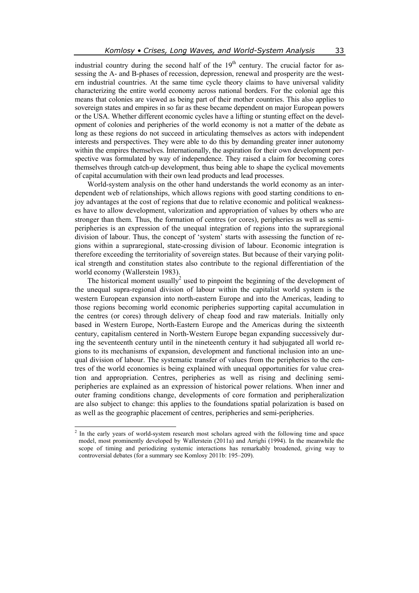industrial country during the second half of the  $19<sup>th</sup>$  century. The crucial factor for assessing the A- and B-phases of recession, depression, renewal and prosperity are the western industrial countries. At the same time cycle theory claims to have universal validity characterizing the entire world economy across national borders. For the colonial age this means that colonies are viewed as being part of their mother countries. This also applies to sovereign states and empires in so far as these became dependent on major European powers or the USA. Whether different economic cycles have a lifting or stunting effect on the development of colonies and peripheries of the world economy is not a matter of the debate as long as these regions do not succeed in articulating themselves as actors with independent interests and perspectives. They were able to do this by demanding greater inner autonomy within the empires themselves. Internationally, the aspiration for their own development perspective was formulated by way of independence. They raised a claim for becoming cores themselves through catch-up development, thus being able to shape the cyclical movements of capital accumulation with their own lead products and lead processes.

World-system analysis on the other hand understands the world economy as an interdependent web of relationships, which allows regions with good starting conditions to enjoy advantages at the cost of regions that due to relative economic and political weaknesses have to allow development, valorization and appropriation of values by others who are stronger than them. Thus, the formation of centres (or cores), peripheries as well as semiperipheries is an expression of the unequal integration of regions into the supraregional division of labour. Thus, the concept of 'system' starts with assessing the function of regions within a supraregional, state-crossing division of labour. Economic integration is therefore exceeding the territoriality of sovereign states. But because of their varying political strength and constitution states also contribute to the regional differentiation of the world economy (Wallerstein 1983).

The historical moment usually<sup>2</sup> used to pinpoint the beginning of the development of the unequal supra-regional division of labour within the capitalist world system is the western European expansion into north-eastern Europe and into the Americas, leading to those regions becoming world economic peripheries supporting capital accumulation in the centres (or cores) through delivery of cheap food and raw materials. Initially only based in Western Europe, North-Eastern Europe and the Americas during the sixteenth century, capitalism centered in North-Western Europe began expanding successively during the seventeenth century until in the nineteenth century it had subjugated all world regions to its mechanisms of expansion, development and functional inclusion into an unequal division of labour. The systematic transfer of values from the peripheries to the centres of the world economies is being explained with unequal opportunities for value creation and appropriation. Centres, peripheries as well as rising and declining semiperipheries are explained as an expression of historical power relations. When inner and outer framing conditions change, developments of core formation and peripheralization are also subject to change: this applies to the foundations spatial polarization is based on as well as the geographic placement of centres, peripheries and semi-peripheries.

 $\overline{a}$ 

<sup>&</sup>lt;sup>2</sup> In the early years of world-system research most scholars agreed with the following time and space model, most prominently developed by Wallerstein (2011a) and Arrighi (1994). In the meanwhile the scope of timing and periodizing systemic interactions has remarkably broadened, giving way to controversial debates (for a summary see Komlosy 2011b: 195–209).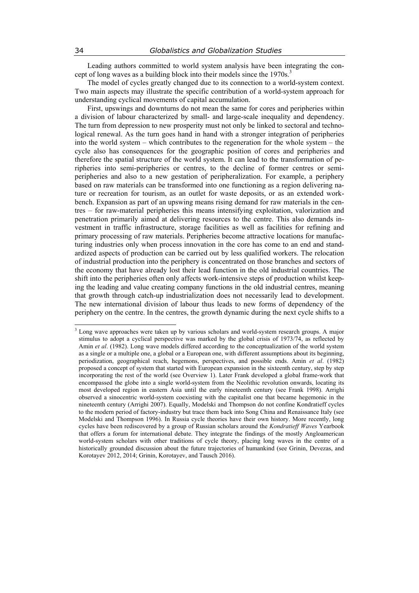Leading authors committed to world system analysis have been integrating the concept of long waves as a building block into their models since the 1970s.<sup>3</sup>

The model of cycles greatly changed due to its connection to a world-system context. Two main aspects may illustrate the specific contribution of a world-system approach for understanding cyclical movements of capital accumulation.

First, upswings and downturns do not mean the same for cores and peripheries within a division of labour characterized by small- and large-scale inequality and dependency. The turn from depression to new prosperity must not only be linked to sectoral and technological renewal. As the turn goes hand in hand with a stronger integration of peripheries into the world system – which contributes to the regeneration for the whole system – the cycle also has consequences for the geographic position of cores and peripheries and therefore the spatial structure of the world system. It can lead to the transformation of peripheries into semi-peripheries or centres, to the decline of former centres or semiperipheries and also to a new gestation of peripheralization. For example, a periphery based on raw materials can be transformed into one functioning as a region delivering nature or recreation for tourism, as an outlet for waste deposits, or as an extended workbench. Expansion as part of an upswing means rising demand for raw materials in the centres – for raw-material peripheries this means intensifying exploitation, valorization and penetration primarily aimed at delivering resources to the centre. This also demands investment in traffic infrastructure, storage facilities as well as facilities for refining and primary processing of raw materials. Peripheries become attractive locations for manufacturing industries only when process innovation in the core has come to an end and standardized aspects of production can be carried out by less qualified workers. The relocation of industrial production into the periphery is concentrated on those branches and sectors of the economy that have already lost their lead function in the old industrial countries. The shift into the peripheries often only affects work-intensive steps of production whilst keeping the leading and value creating company functions in the old industrial centres, meaning that growth through catch-up industrialization does not necessarily lead to development. The new international division of labour thus leads to new forms of dependency of the periphery on the centre. In the centres, the growth dynamic during the next cycle shifts to a

 $\overline{\phantom{a}}$ 

<sup>&</sup>lt;sup>3</sup> Long wave approaches were taken up by various scholars and world-system research groups. A major stimulus to adopt a cyclical perspective was marked by the global crisis of 1973/74, as reflected by Amin *et al*. (1982). Long wave models differed according to the conceptualization of the world system as a single or a multiple one, a global or a European one, with different assumptions about its beginning, periodization, geographical reach, hegemons, perspectives, and possible ends. Amin *et al*. (1982) proposed a concept of system that started with European expansion in the sixteenth century, step by step incorporating the rest of the world (see Overview 1). Later Frank developed a global frame-work that encompassed the globe into a single world-system from the Neolithic revolution onwards, locating its most developed region in eastern Asia until the early nineteenth century (see Frank 1998). Arrighi observed a sinocentric world-system coexisting with the capitalist one that became hegemonic in the nineteenth century (Arrighi 2007). Equally, Modelski and Thompson do not confine Kondratieff cycles to the modern period of factory-industry but trace them back into Song China and Renaissance Italy (see Modelski and Thompson 1996). In Russia cycle theories have their own history. More recently, long cycles have been rediscovered by a group of Russian scholars around the *Kondratieff Waves* Yearbook that offers a forum for international debate. They integrate the findings of the mostly Angloamerican world-system scholars with other traditions of cycle theory, placing long waves in the centre of a historically grounded discussion about the future trajectories of humankind (see Grinin, Devezas, and Korotayev 2012, 2014; Grinin, Korotayev, and Tausch 2016).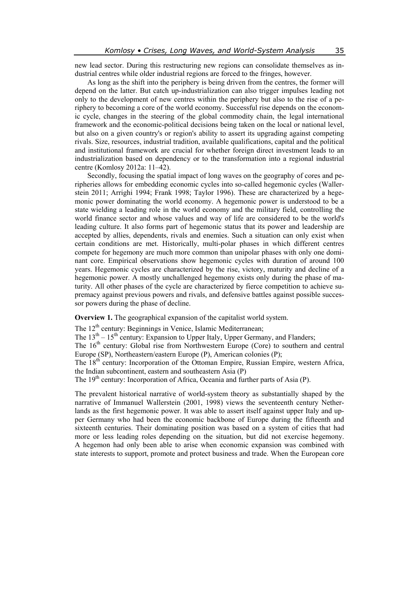new lead sector. During this restructuring new regions can consolidate themselves as industrial centres while older industrial regions are forced to the fringes, however.

As long as the shift into the periphery is being driven from the centres, the former will depend on the latter. But catch up-industrialization can also trigger impulses leading not only to the development of new centres within the periphery but also to the rise of a periphery to becoming a core of the world economy. Successful rise depends on the economic cycle, changes in the steering of the global commodity chain, the legal international framework and the economic-political decisions being taken on the local or national level, but also on a given country's or region's ability to assert its upgrading against competing rivals. Size, resources, industrial tradition, available qualifications, capital and the political and institutional framework are crucial for whether foreign direct investment leads to an industrialization based on dependency or to the transformation into a regional industrial centre (Komlosy 2012a: 11–42).

Secondly, focusing the spatial impact of long waves on the geography of cores and peripheries allows for embedding economic cycles into so-called hegemonic cycles (Wallerstein 2011; Arrighi 1994; Frank 1998; Taylor 1996). These are characterized by a hegemonic power dominating the world economy. A hegemonic power is understood to be a state wielding a leading role in the world economy and the military field, controlling the world finance sector and whose values and way of life are considered to be the world's leading culture. It also forms part of hegemonic status that its power and leadership are accepted by allies, dependents, rivals and enemies. Such a situation can only exist when certain conditions are met. Historically, multi-polar phases in which different centres compete for hegemony are much more common than unipolar phases with only one dominant core. Empirical observations show hegemonic cycles with duration of around 100 years. Hegemonic cycles are characterized by the rise, victory, maturity and decline of a hegemonic power. A mostly unchallenged hegemony exists only during the phase of maturity. All other phases of the cycle are characterized by fierce competition to achieve supremacy against previous powers and rivals, and defensive battles against possible successor powers during the phase of decline.

**Overview 1.** The geographical expansion of the capitalist world system.

The 12<sup>th</sup> century: Beginnings in Venice, Islamic Mediterranean;

The  $13<sup>th</sup> - 15<sup>th</sup>$  century: Expansion to Upper Italy, Upper Germany, and Flanders;

The  $16<sup>th</sup>$  century: Global rise from Northwestern Europe (Core) to southern and central Europe (SP), Northeastern/eastern Europe (P), American colonies (P);

The 18<sup>th</sup> century: Incorporation of the Ottoman Empire, Russian Empire, western Africa, the Indian subcontinent, eastern and southeastern Asia (P)

The  $19<sup>th</sup>$  century: Incorporation of Africa, Oceania and further parts of Asia (P).

The prevalent historical narrative of world-system theory as substantially shaped by the narrative of Immanuel Wallerstein (2001, 1998) views the seventeenth century Netherlands as the first hegemonic power. It was able to assert itself against upper Italy and upper Germany who had been the economic backbone of Europe during the fifteenth and sixteenth centuries. Their dominating position was based on a system of cities that had more or less leading roles depending on the situation, but did not exercise hegemony. A hegemon had only been able to arise when economic expansion was combined with state interests to support, promote and protect business and trade. When the European core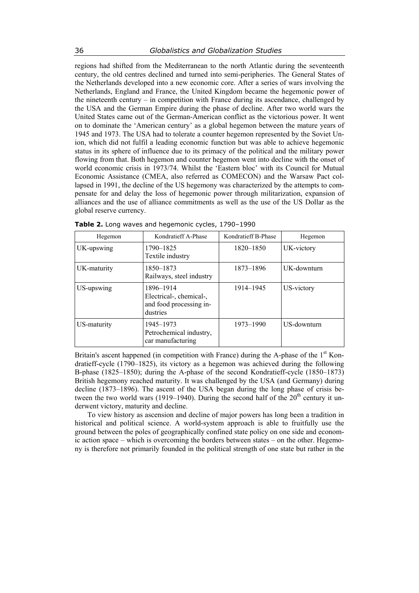regions had shifted from the Mediterranean to the north Atlantic during the seventeenth century, the old centres declined and turned into semi-peripheries. The General States of the Netherlands developed into a new economic core. After a series of wars involving the Netherlands, England and France, the United Kingdom became the hegemonic power of the nineteenth century – in competition with France during its ascendance, challenged by the USA and the German Empire during the phase of decline. After two world wars the United States came out of the German-American conflict as the victorious power. It went on to dominate the 'American century' as a global hegemon between the mature years of 1945 and 1973. The USA had to tolerate a counter hegemon represented by the Soviet Union, which did not fulfil a leading economic function but was able to achieve hegemonic status in its sphere of influence due to its primacy of the political and the military power flowing from that. Both hegemon and counter hegemon went into decline with the onset of world economic crisis in 1973/74. Whilst the 'Eastern bloc' with its Council for Mutual Economic Assistance (CMEA, also referred as COMECON) and the Warsaw Pact collapsed in 1991, the decline of the US hegemony was characterized by the attempts to compensate for and delay the loss of hegemonic power through militarization, expansion of alliances and the use of alliance commitments as well as the use of the US Dollar as the global reserve currency.

| Hegemon     | Kondratieff A-Phase                                                         | Kondratieff B-Phase | Hegemon     |  |
|-------------|-----------------------------------------------------------------------------|---------------------|-------------|--|
| UK-upswing  | 1790-1825<br>Textile industry                                               | 1820-1850           | UK-victory  |  |
| UK-maturity | 1850-1873<br>Railways, steel industry                                       | 1873-1896           | UK-downturn |  |
| US-upswing  | 1896-1914<br>Electrical-, chemical-,<br>and food processing in-<br>dustries | 1914–1945           | US-victory  |  |
| US-maturity | 1945–1973<br>Petrochemical industry,<br>car manufacturing                   | 1973-1990           | US-downturn |  |

**Table 2.** Long waves and hegemonic cycles, 1790–1990

Britain's ascent happened (in competition with France) during the A-phase of the  $1<sup>st</sup>$  Kondratieff-cycle (1790–1825), its victory as a hegemon was achieved during the following B-phase (1825–1850); during the A-phase of the second Kondratieff-cycle (1850–1873) British hegemony reached maturity. It was challenged by the USA (and Germany) during decline (1873–1896). The ascent of the USA began during the long phase of crisis between the two world wars (1919–1940). During the second half of the  $20<sup>th</sup>$  century it underwent victory, maturity and decline.

To view history as ascension and decline of major powers has long been a tradition in historical and political science. A world-system approach is able to fruitfully use the ground between the poles of geographically confined state policy on one side and economic action space – which is overcoming the borders between states – on the other. Hegemony is therefore not primarily founded in the political strength of one state but rather in the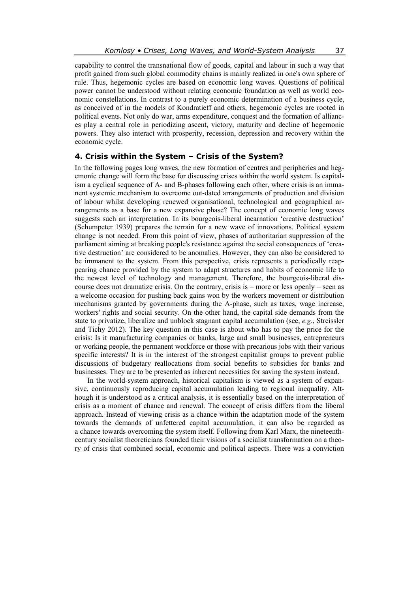capability to control the transnational flow of goods, capital and labour in such a way that profit gained from such global commodity chains is mainly realized in one's own sphere of rule. Thus, hegemonic cycles are based on economic long waves. Questions of political power cannot be understood without relating economic foundation as well as world economic constellations. In contrast to a purely economic determination of a business cycle, as conceived of in the models of Kondratieff and others, hegemonic cycles are rooted in political events. Not only do war, arms expenditure, conquest and the formation of alliances play a central role in periodizing ascent, victory, maturity and decline of hegemonic powers. They also interact with prosperity, recession, depression and recovery within the economic cycle.

## **4. Crisis within the System – Crisis of the System?**

In the following pages long waves, the new formation of centres and peripheries and hegemonic change will form the base for discussing crises within the world system. Is capitalism a cyclical sequence of A- and B-phases following each other, where crisis is an immanent systemic mechanism to overcome out-dated arrangements of production and division of labour whilst developing renewed organisational, technological and geographical arrangements as a base for a new expansive phase? The concept of economic long waves suggests such an interpretation. In its bourgeois-liberal incarnation 'creative destruction' (Schumpeter 1939) prepares the terrain for a new wave of innovations. Political system change is not needed. From this point of view, phases of authoritarian suppression of the parliament aiming at breaking people's resistance against the social consequences of 'creative destruction' are considered to be anomalies. However, they can also be considered to be immanent to the system. From this perspective, crisis represents a periodically reappearing chance provided by the system to adapt structures and habits of economic life to the newest level of technology and management. Therefore, the bourgeois-liberal discourse does not dramatize crisis. On the contrary, crisis is – more or less openly – seen as a welcome occasion for pushing back gains won by the workers movement or distribution mechanisms granted by governments during the A-phase, such as taxes, wage increase, workers' rights and social security. On the other hand, the capital side demands from the state to privatize, liberalize and unblock stagnant capital accumulation (see, *e.g.*, Streissler and Tichy 2012). The key question in this case is about who has to pay the price for the crisis: Is it manufacturing companies or banks, large and small businesses, entrepreneurs or working people, the permanent workforce or those with precarious jobs with their various specific interests? It is in the interest of the strongest capitalist groups to prevent public discussions of budgetary reallocations from social benefits to subsidies for banks and businesses. They are to be presented as inherent necessities for saving the system instead.

In the world-system approach, historical capitalism is viewed as a system of expansive, continuously reproducing capital accumulation leading to regional inequality. Although it is understood as a critical analysis, it is essentially based on the interpretation of crisis as a moment of chance and renewal. The concept of crisis differs from the liberal approach. Instead of viewing crisis as a chance within the adaptation mode of the system towards the demands of unfettered capital accumulation, it can also be regarded as a chance towards overcoming the system itself. Following from Karl Marx, the nineteenthcentury socialist theoreticians founded their visions of a socialist transformation on a theory of crisis that combined social, economic and political aspects. There was a conviction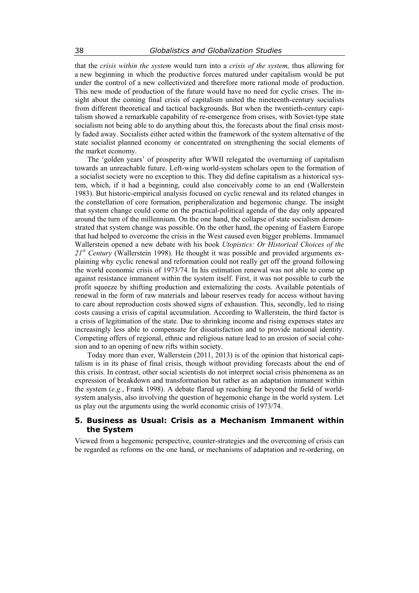that the *crisis within the system* would turn into a *crisis of the system,* thus allowing for a new beginning in which the productive forces matured under capitalism would be put under the control of a new collectivized and therefore more rational mode of production. This new mode of production of the future would have no need for cyclic crises. The insight about the coming final crisis of capitalism united the nineteenth-century socialists from different theoretical and tactical backgrounds. But when the twentieth-century capitalism showed a remarkable capability of re-emergence from crises, with Soviet-type state socialism not being able to do anything about this, the forecasts about the final crisis mostly faded away. Socialists either acted within the framework of the system alternative of the state socialist planned economy or concentrated on strengthening the social elements of the market economy.

The 'golden years' of prosperity after WWII relegated the overturning of capitalism towards an unreachable future. Left-wing world-system scholars open to the formation of a socialist society were no exception to this. They did define capitalism as a historical system, which, if it had a beginning, could also conceivably come to an end (Wallerstein 1983). But historic-empirical analysis focused on cyclic renewal and its related changes in the constellation of core formation, peripheralization and hegemonic change. The insight that system change could come on the practical-political agenda of the day only appeared around the turn of the millennium. On the one hand, the collapse of state socialism demonstrated that system change was possible. On the other hand, the opening of Eastern Europe that had helped to overcome the crisis in the West caused even bigger problems. Immanuel Wallerstein opened a new debate with his book *Utopistics: Or Historical Choices of the 21st Century* (Wallerstein 1998). He thought it was possible and provided arguments explaining why cyclic renewal and reformation could not really get off the ground following the world economic crisis of 1973/74. In his estimation renewal was not able to come up against resistance immanent within the system itself. First, it was not possible to curb the profit squeeze by shifting production and externalizing the costs. Available potentials of renewal in the form of raw materials and labour reserves ready for access without having to care about reproduction costs showed signs of exhaustion. This, secondly, led to rising costs causing a crisis of capital accumulation. According to Wallerstein, the third factor is a crisis of legitimation of the state. Due to shrinking income and rising expenses states are increasingly less able to compensate for dissatisfaction and to provide national identity. Competing offers of regional, ethnic and religious nature lead to an erosion of social cohesion and to an opening of new rifts within society.

Today more than ever, Wallerstein (2011, 2013) is of the opinion that historical capitalism is in its phase of final crisis, though without providing forecasts about the end of this crisis. In contrast, other social scientists do not interpret social crisis phenomena as an expression of breakdown and transformation but rather as an adaptation immanent within the system (*e.g.*, Frank 1998). A debate flared up reaching far beyond the field of worldsystem analysis, also involving the question of hegemonic change in the world system. Let us play out the arguments using the world economic crisis of 1973/74.

# **5. Business as Usual: Crisis as a Mechanism Immanent within the System**

Viewed from a hegemonic perspective, counter-strategies and the overcoming of crisis can be regarded as reforms on the one hand, or mechanisms of adaptation and re-ordering, on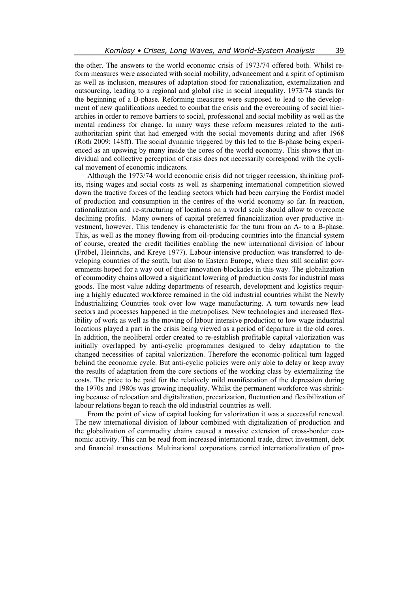the other. The answers to the world economic crisis of 1973/74 offered both. Whilst reform measures were associated with social mobility, advancement and a spirit of optimism as well as inclusion, measures of adaptation stood for rationalization, externalization and outsourcing, leading to a regional and global rise in social inequality. 1973/74 stands for the beginning of a B-phase. Reforming measures were supposed to lead to the development of new qualifications needed to combat the crisis and the overcoming of social hierarchies in order to remove barriers to social, professional and social mobility as well as the mental readiness for change. In many ways these reform measures related to the antiauthoritarian spirit that had emerged with the social movements during and after 1968 (Roth 2009: 148ff). The social dynamic triggered by this led to the B-phase being experienced as an upswing by many inside the cores of the world economy. This shows that individual and collective perception of crisis does not necessarily correspond with the cyclical movement of economic indicators.

Although the 1973/74 world economic crisis did not trigger recession, shrinking profits, rising wages and social costs as well as sharpening international competition slowed down the tractive forces of the leading sectors which had been carrying the Fordist model of production and consumption in the centres of the world economy so far. In reaction, rationalization and re-structuring of locations on a world scale should allow to overcome declining profits. Many owners of capital preferred financialization over productive investment, however. This tendency is characteristic for the turn from an A- to a B-phase. This, as well as the money flowing from oil-producing countries into the financial system of course, created the credit facilities enabling the new international division of labour (Fröbel, Heinrichs, and Kreye 1977). Labour-intensive production was transferred to developing countries of the south, but also to Eastern Europe, where then still socialist governments hoped for a way out of their innovation-blockades in this way. The globalization of commodity chains allowed a significant lowering of production costs for industrial mass goods. The most value adding departments of research, development and logistics requiring a highly educated workforce remained in the old industrial countries whilst the Newly Industrializing Countries took over low wage manufacturing. A turn towards new lead sectors and processes happened in the metropolises. New technologies and increased flexibility of work as well as the moving of labour intensive production to low wage industrial locations played a part in the crisis being viewed as a period of departure in the old cores. In addition, the neoliberal order created to re-establish profitable capital valorization was initially overlapped by anti-cyclic programmes designed to delay adaptation to the changed necessities of capital valorization. Therefore the economic-political turn lagged behind the economic cycle. But anti-cyclic policies were only able to delay or keep away the results of adaptation from the core sections of the working class by externalizing the costs. The price to be paid for the relatively mild manifestation of the depression during the 1970s and 1980s was growing inequality. Whilst the permanent workforce was shrinking because of relocation and digitalization, precarization, fluctuation and flexibilization of labour relations began to reach the old industrial countries as well.

From the point of view of capital looking for valorization it was a successful renewal. The new international division of labour combined with digitalization of production and the globalization of commodity chains caused a massive extension of cross-border economic activity. This can be read from increased international trade, direct investment, debt and financial transactions. Multinational corporations carried internationalization of pro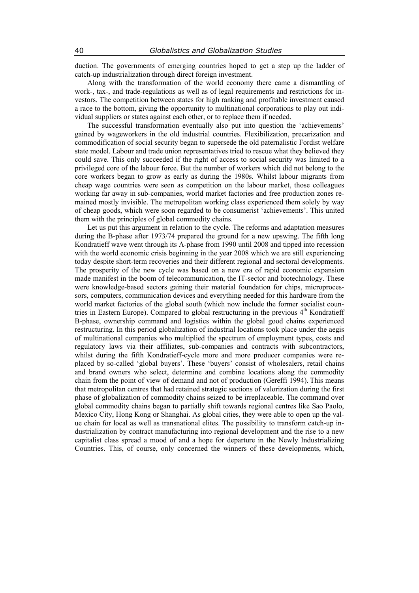duction. The governments of emerging countries hoped to get a step up the ladder of catch-up industrialization through direct foreign investment.

Along with the transformation of the world economy there came a dismantling of work-, tax-, and trade-regulations as well as of legal requirements and restrictions for investors. The competition between states for high ranking and profitable investment caused a race to the bottom, giving the opportunity to multinational corporations to play out individual suppliers or states against each other, or to replace them if needed.

The successful transformation eventually also put into question the 'achievements' gained by wageworkers in the old industrial countries. Flexibilization, precarization and commodification of social security began to supersede the old paternalistic Fordist welfare state model. Labour and trade union representatives tried to rescue what they believed they could save. This only succeeded if the right of access to social security was limited to a privileged core of the labour force. But the number of workers which did not belong to the core workers began to grow as early as during the 1980s. Whilst labour migrants from cheap wage countries were seen as competition on the labour market, those colleagues working far away in sub-companies, world market factories and free production zones remained mostly invisible. The metropolitan working class experienced them solely by way of cheap goods, which were soon regarded to be consumerist 'achievements'. This united them with the principles of global commodity chains.

Let us put this argument in relation to the cycle. The reforms and adaptation measures during the B-phase after 1973/74 prepared the ground for a new upswing. The fifth long Kondratieff wave went through its A-phase from 1990 until 2008 and tipped into recession with the world economic crisis beginning in the year 2008 which we are still experiencing today despite short-term recoveries and their different regional and sectoral developments. The prosperity of the new cycle was based on a new era of rapid economic expansion made manifest in the boom of telecommunication, the IT-sector and biotechnology. These were knowledge-based sectors gaining their material foundation for chips, microprocessors, computers, communication devices and everything needed for this hardware from the world market factories of the global south (which now include the former socialist countries in Eastern Europe). Compared to global restructuring in the previous 4<sup>th</sup> Kondratieff B-phase, ownership command and logistics within the global good chains experienced restructuring. In this period globalization of industrial locations took place under the aegis of multinational companies who multiplied the spectrum of employment types, costs and regulatory laws via their affiliates, sub-companies and contracts with subcontractors, whilst during the fifth Kondratieff-cycle more and more producer companies were replaced by so-called 'global buyers'. These 'buyers' consist of wholesalers, retail chains and brand owners who select, determine and combine locations along the commodity chain from the point of view of demand and not of production (Gereffi 1994). This means that metropolitan centres that had retained strategic sections of valorization during the first phase of globalization of commodity chains seized to be irreplaceable. The command over global commodity chains began to partially shift towards regional centres like Sao Paolo, Mexico City, Hong Kong or Shanghai. As global cities, they were able to open up the value chain for local as well as transnational elites. The possibility to transform catch-up industrialization by contract manufacturing into regional development and the rise to a new capitalist class spread a mood of and a hope for departure in the Newly Industrializing Countries. This, of course, only concerned the winners of these developments, which,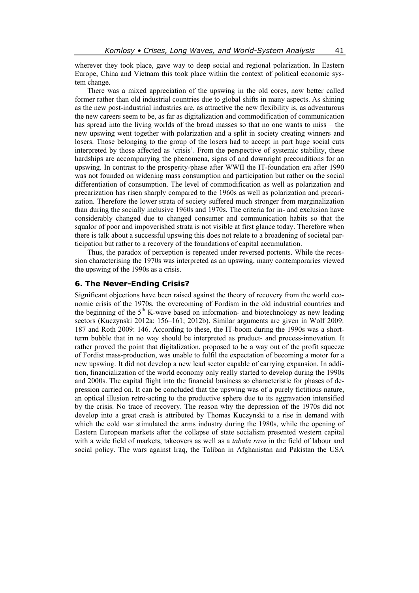wherever they took place, gave way to deep social and regional polarization. In Eastern Europe, China and Vietnam this took place within the context of political economic system change.

There was a mixed appreciation of the upswing in the old cores, now better called former rather than old industrial countries due to global shifts in many aspects. As shining as the new post-industrial industries are, as attractive the new flexibility is, as adventurous the new careers seem to be, as far as digitalization and commodification of communication has spread into the living worlds of the broad masses so that no one wants to miss – the new upswing went together with polarization and a split in society creating winners and losers. Those belonging to the group of the losers had to accept in part huge social cuts interpreted by those affected as 'crisis'. From the perspective of systemic stability, these hardships are accompanying the phenomena, signs of and downright preconditions for an upswing. In contrast to the prosperity-phase after WWII the IT-foundation era after 1990 was not founded on widening mass consumption and participation but rather on the social differentiation of consumption. The level of commodification as well as polarization and precarization has risen sharply compared to the 1960s as well as polarization and precarization. Therefore the lower strata of society suffered much stronger from marginalization than during the socially inclusive 1960s and 1970s. The criteria for in- and exclusion have considerably changed due to changed consumer and communication habits so that the squalor of poor and impoverished strata is not visible at first glance today. Therefore when there is talk about a successful upswing this does not relate to a broadening of societal participation but rather to a recovery of the foundations of capital accumulation.

Thus, the paradox of perception is repeated under reversed portents. While the recession characterising the 1970s was interpreted as an upswing, many contemporaries viewed the upswing of the 1990s as a crisis.

## **6. The Never-Ending Crisis?**

Significant objections have been raised against the theory of recovery from the world economic crisis of the 1970s, the overcoming of Fordism in the old industrial countries and the beginning of the  $5<sup>th</sup>$  K-wave based on information- and biotechnology as new leading sectors (Kuczynski 2012a: 156–161; 2012b). Similar arguments are given in Wolf 2009: 187 and Roth 2009: 146. According to these, the IT-boom during the 1990s was a shortterm bubble that in no way should be interpreted as product- and process-innovation. It rather proved the point that digitalization, proposed to be a way out of the profit squeeze of Fordist mass-production, was unable to fulfil the expectation of becoming a motor for a new upswing. It did not develop a new lead sector capable of carrying expansion. In addition, financialization of the world economy only really started to develop during the 1990s and 2000s. The capital flight into the financial business so characteristic for phases of depression carried on. It can be concluded that the upswing was of a purely fictitious nature, an optical illusion retro-acting to the productive sphere due to its aggravation intensified by the crisis. No trace of recovery. The reason why the depression of the 1970s did not develop into a great crash is attributed by Thomas Kuczynski to a rise in demand with which the cold war stimulated the arms industry during the 1980s, while the opening of Eastern European markets after the collapse of state socialism presented western capital with a wide field of markets, takeovers as well as a *tabula rasa* in the field of labour and social policy. The wars against Iraq, the Taliban in Afghanistan and Pakistan the USA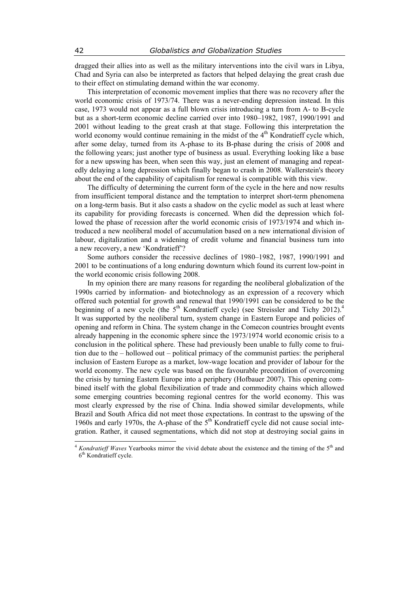dragged their allies into as well as the military interventions into the civil wars in Libya, Chad and Syria can also be interpreted as factors that helped delaying the great crash due to their effect on stimulating demand within the war economy.

This interpretation of economic movement implies that there was no recovery after the world economic crisis of 1973/74. There was a never-ending depression instead. In this case, 1973 would not appear as a full blown crisis introducing a turn from A- to B-cycle but as a short-term economic decline carried over into 1980–1982, 1987, 1990/1991 and 2001 without leading to the great crash at that stage. Following this interpretation the world economy would continue remaining in the midst of the 4<sup>th</sup> Kondratieff cycle which, after some delay, turned from its A-phase to its B-phase during the crisis of 2008 and the following years; just another type of business as usual. Everything looking like a base for a new upswing has been, when seen this way, just an element of managing and repeatedly delaying a long depression which finally began to crash in 2008. Wallerstein's theory about the end of the capability of capitalism for renewal is compatible with this view.

The difficulty of determining the current form of the cycle in the here and now results from insufficient temporal distance and the temptation to interpret short-term phenomena on a long-term basis. But it also casts a shadow on the cyclic model as such at least where its capability for providing forecasts is concerned. When did the depression which followed the phase of recession after the world economic crisis of 1973/1974 and which introduced a new neoliberal model of accumulation based on a new international division of labour, digitalization and a widening of credit volume and financial business turn into a new recovery, a new 'Kondratieff'?

Some authors consider the recessive declines of 1980–1982, 1987, 1990/1991 and 2001 to be continuations of a long enduring downturn which found its current low-point in the world economic crisis following 2008.

In my opinion there are many reasons for regarding the neoliberal globalization of the 1990s carried by information- and biotechnology as an expression of a recovery which offered such potential for growth and renewal that 1990/1991 can be considered to be the beginning of a new cycle (the  $5<sup>th</sup>$  Kondratieff cycle) (see Streissler and Tichy 2012).<sup>4</sup> It was supported by the neoliberal turn, system change in Eastern Europe and policies of opening and reform in China. The system change in the Comecon countries brought events already happening in the economic sphere since the 1973/1974 world economic crisis to a conclusion in the political sphere. These had previously been unable to fully come to fruition due to the – hollowed out – political primacy of the communist parties: the peripheral inclusion of Eastern Europe as a market, low-wage location and provider of labour for the world economy. The new cycle was based on the favourable precondition of overcoming the crisis by turning Eastern Europe into a periphery (Hofbauer 2007). This opening combined itself with the global flexibilization of trade and commodity chains which allowed some emerging countries becoming regional centres for the world economy. This was most clearly expressed by the rise of China. India showed similar developments, while Brazil and South Africa did not meet those expectations. In contrast to the upswing of the 1960s and early 1970s, the A-phase of the  $5<sup>th</sup>$  Kondratieff cycle did not cause social integration. Rather, it caused segmentations, which did not stop at destroying social gains in

 $\overline{\phantom{a}}$ 

<sup>4</sup> *Kondratieff Waves* Yearbooks mirror the vivid debate about the existence and the timing of the 5th and 6<sup>th</sup> Kondratieff cycle.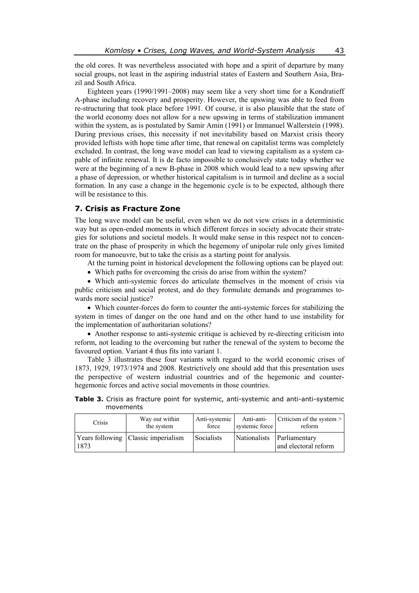the old cores. It was nevertheless associated with hope and a spirit of departure by many social groups, not least in the aspiring industrial states of Eastern and Southern Asia, Brazil and South Africa.

Eighteen years (1990/1991–2008) may seem like a very short time for a Kondratieff A-phase including recovery and prosperity. However, the upswing was able to feed from re-structuring that took place before 1991. Of course, it is also plausible that the state of the world economy does not allow for a new upswing in terms of stabilization immanent within the system, as is postulated by Samir Amin (1991) or Immanuel Wallerstein (1998). During previous crises, this necessity if not inevitability based on Marxist crisis theory provided leftists with hope time after time, that renewal on capitalist terms was completely excluded. In contrast, the long wave model can lead to viewing capitalism as a system capable of infinite renewal. It is de facto impossible to conclusively state today whether we were at the beginning of a new B-phase in 2008 which would lead to a new upswing after a phase of depression, or whether historical capitalism is in turmoil and decline as a social formation. In any case a change in the hegemonic cycle is to be expected, although there will be resistance to this.

## **7. Crisis as Fracture Zone**

The long wave model can be useful, even when we do not view crises in a deterministic way but as open-ended moments in which different forces in society advocate their strategies for solutions and societal models. It would make sense in this respect not to concentrate on the phase of prosperity in which the hegemony of unipolar rule only gives limited room for manoeuvre, but to take the crisis as a starting point for analysis.

At the turning point in historical development the following options can be played out:

Which paths for overcoming the crisis do arise from within the system?

 Which anti-systemic forces do articulate themselves in the moment of crisis via public criticism and social protest, and do they formulate demands and programmes towards more social justice?

 Which counter-forces do form to counter the anti-systemic forces for stabilizing the system in times of danger on the one hand and on the other hand to use instability for the implementation of authoritarian solutions?

 Another response to anti-systemic critique is achieved by re-directing criticism into reform, not leading to the overcoming but rather the renewal of the system to become the favoured option. Variant 4 thus fits into variant 1.

Table 3 illustrates these four variants with regard to the world economic crises of 1873, 1929, 1973/1974 and 2008. Restrictively one should add that this presentation uses the perspective of western industrial countries and of the hegemonic and counterhegemonic forces and active social movements in those countries.

|  |           |  |  | <b>Table 3.</b> Crisis as fracture point for systemic, anti-systemic and anti-anti-systemic |
|--|-----------|--|--|---------------------------------------------------------------------------------------------|
|  | movements |  |  |                                                                                             |
|  |           |  |  |                                                                                             |

| Crisis | Way out within                        | Anti-systemic | Anti-anti-     | Criticism of the system $>$                        |
|--------|---------------------------------------|---------------|----------------|----------------------------------------------------|
|        | the system                            | force         | systemic force | reform                                             |
| 1873   | Years following   Classic imperialism | Socialists    |                | Nationalists Parliamentary<br>and electoral reform |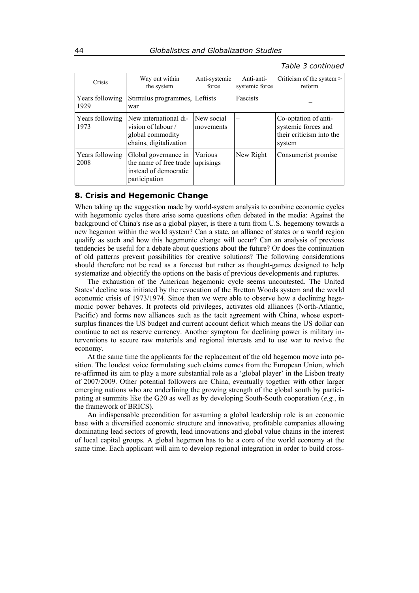### *Table 3 continued*

| Crisis                  | Way out within<br>the system                                                              | Anti-systemic<br>force  | Anti-anti-<br>systemic force | Criticism of the system $>$<br>reform                                             |
|-------------------------|-------------------------------------------------------------------------------------------|-------------------------|------------------------------|-----------------------------------------------------------------------------------|
| Years following<br>1929 | Stimulus programmes, Leftists<br>war                                                      |                         | <b>Fascists</b>              |                                                                                   |
| Years following<br>1973 | New international di-<br>vision of labour /<br>global commodity<br>chains, digitalization | New social<br>movements |                              | Co-optation of anti-<br>systemic forces and<br>their criticism into the<br>system |
| Years following<br>2008 | Global governance in<br>the name of free trade<br>instead of democratic<br>participation  | Various<br>uprisings    | New Right                    | Consumerist promise                                                               |

## **8. Crisis and Hegemonic Change**

When taking up the suggestion made by world-system analysis to combine economic cycles with hegemonic cycles there arise some questions often debated in the media: Against the background of China's rise as a global player, is there a turn from U.S. hegemony towards a new hegemon within the world system? Can a state, an alliance of states or a world region qualify as such and how this hegemonic change will occur? Can an analysis of previous tendencies be useful for a debate about questions about the future? Or does the continuation of old patterns prevent possibilities for creative solutions? The following considerations should therefore not be read as a forecast but rather as thought-games designed to help systematize and objectify the options on the basis of previous developments and ruptures.

The exhaustion of the American hegemonic cycle seems uncontested. The United States' decline was initiated by the revocation of the Bretton Woods system and the world economic crisis of 1973/1974. Since then we were able to observe how a declining hegemonic power behaves. It protects old privileges, activates old alliances (North-Atlantic, Pacific) and forms new alliances such as the tacit agreement with China, whose exportsurplus finances the US budget and current account deficit which means the US dollar can continue to act as reserve currency. Another symptom for declining power is military interventions to secure raw materials and regional interests and to use war to revive the economy.

At the same time the applicants for the replacement of the old hegemon move into position. The loudest voice formulating such claims comes from the European Union, which re-affirmed its aim to play a more substantial role as a 'global player' in the Lisbon treaty of 2007/2009. Other potential followers are China, eventually together with other larger emerging nations who are underlining the growing strength of the global south by participating at summits like the G20 as well as by developing South-South cooperation (*e.g.*, in the framework of BRICS).

An indispensable precondition for assuming a global leadership role is an economic base with a diversified economic structure and innovative, profitable companies allowing dominating lead sectors of growth, lead innovations and global value chains in the interest of local capital groups. A global hegemon has to be a core of the world economy at the same time. Each applicant will aim to develop regional integration in order to build cross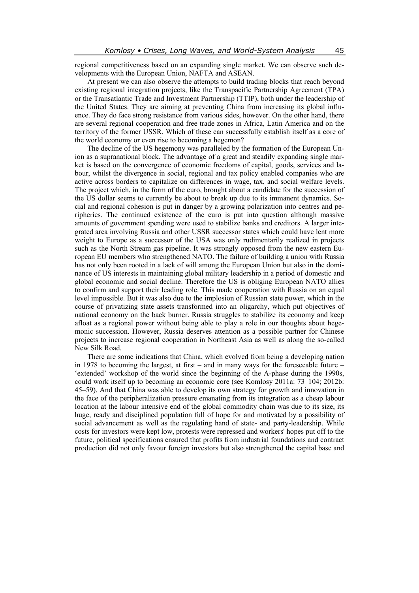regional competitiveness based on an expanding single market. We can observe such developments with the European Union, NAFTA and ASEAN.

At present we can also observe the attempts to build trading blocks that reach beyond existing regional integration projects, like the Transpacific Partnership Agreement (TPA) or the Transatlantic Trade and Investment Partnership (TTIP), both under the leadership of the United States. They are aiming at preventing China from increasing its global influence. They do face strong resistance from various sides, however. On the other hand, there are several regional cooperation and free trade zones in Africa, Latin America and on the territory of the former USSR. Which of these can successfully establish itself as a core of the world economy or even rise to becoming a hegemon?

The decline of the US hegemony was paralleled by the formation of the European Union as a supranational block. The advantage of a great and steadily expanding single market is based on the convergence of economic freedoms of capital, goods, services and labour, whilst the divergence in social, regional and tax policy enabled companies who are active across borders to capitalize on differences in wage, tax, and social welfare levels. The project which, in the form of the euro, brought about a candidate for the succession of the US dollar seems to currently be about to break up due to its immanent dynamics. Social and regional cohesion is put in danger by a growing polarization into centres and peripheries. The continued existence of the euro is put into question although massive amounts of government spending were used to stabilize banks and creditors. A larger integrated area involving Russia and other USSR successor states which could have lent more weight to Europe as a successor of the USA was only rudimentarily realized in projects such as the North Stream gas pipeline. It was strongly opposed from the new eastern European EU members who strengthened NATO. The failure of building a union with Russia has not only been rooted in a lack of will among the European Union but also in the dominance of US interests in maintaining global military leadership in a period of domestic and global economic and social decline. Therefore the US is obliging European NATO allies to confirm and support their leading role. This made cooperation with Russia on an equal level impossible. But it was also due to the implosion of Russian state power, which in the course of privatizing state assets transformed into an oligarchy, which put objectives of national economy on the back burner. Russia struggles to stabilize its economy and keep afloat as a regional power without being able to play a role in our thoughts about hegemonic succession. However, Russia deserves attention as a possible partner for Chinese projects to increase regional cooperation in Northeast Asia as well as along the so-called New Silk Road.

There are some indications that China, which evolved from being a developing nation in 1978 to becoming the largest, at first – and in many ways for the foreseeable future – 'extended' workshop of the world since the beginning of the A-phase during the 1990s, could work itself up to becoming an economic core (see Komlosy 2011a: 73–104; 2012b: 45–59). And that China was able to develop its own strategy for growth and innovation in the face of the peripheralization pressure emanating from its integration as a cheap labour location at the labour intensive end of the global commodity chain was due to its size, its huge, ready and disciplined population full of hope for and motivated by a possibility of social advancement as well as the regulating hand of state- and party-leadership. While costs for investors were kept low, protests were repressed and workers' hopes put off to the future, political specifications ensured that profits from industrial foundations and contract production did not only favour foreign investors but also strengthened the capital base and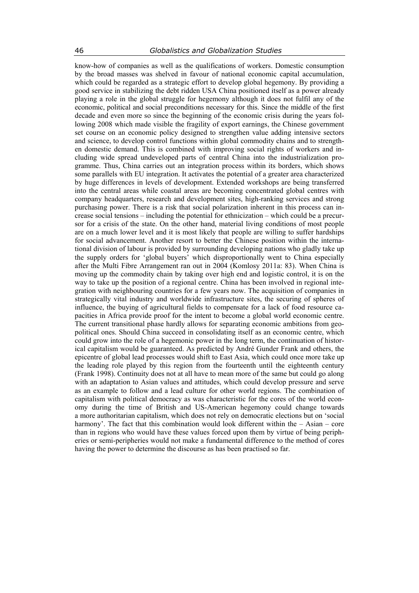know-how of companies as well as the qualifications of workers. Domestic consumption by the broad masses was shelved in favour of national economic capital accumulation, which could be regarded as a strategic effort to develop global hegemony. By providing a good service in stabilizing the debt ridden USA China positioned itself as a power already playing a role in the global struggle for hegemony although it does not fulfil any of the economic, political and social preconditions necessary for this. Since the middle of the first decade and even more so since the beginning of the economic crisis during the years following 2008 which made visible the fragility of export earnings, the Chinese government set course on an economic policy designed to strengthen value adding intensive sectors and science, to develop control functions within global commodity chains and to strengthen domestic demand. This is combined with improving social rights of workers and including wide spread undeveloped parts of central China into the industrialization programme. Thus, China carries out an integration process within its borders, which shows some parallels with EU integration. It activates the potential of a greater area characterized by huge differences in levels of development. Extended workshops are being transferred into the central areas while coastal areas are becoming concentrated global centres with company headquarters, research and development sites, high-ranking services and strong purchasing power. There is a risk that social polarization inherent in this process can increase social tensions – including the potential for ethnicization – which could be a precursor for a crisis of the state. On the other hand, material living conditions of most people are on a much lower level and it is most likely that people are willing to suffer hardships for social advancement. Another resort to better the Chinese position within the international division of labour is provided by surrounding developing nations who gladly take up the supply orders for 'global buyers' which disproportionally went to China especially after the Multi Fibre Arrangement ran out in 2004 (Komlosy 2011a: 83). When China is moving up the commodity chain by taking over high end and logistic control, it is on the way to take up the position of a regional centre. China has been involved in regional integration with neighbouring countries for a few years now. The acquisition of companies in strategically vital industry and worldwide infrastructure sites, the securing of spheres of influence, the buying of agricultural fields to compensate for a lack of food resource capacities in Africa provide proof for the intent to become a global world economic centre. The current transitional phase hardly allows for separating economic ambitions from geopolitical ones. Should China succeed in consolidating itself as an economic centre, which could grow into the role of a hegemonic power in the long term, the continuation of historical capitalism would be guaranteed. As predicted by André Gunder Frank and others, the epicentre of global lead processes would shift to East Asia, which could once more take up the leading role played by this region from the fourteenth until the eighteenth century (Frank 1998). Continuity does not at all have to mean more of the same but could go along with an adaptation to Asian values and attitudes, which could develop pressure and serve as an example to follow and a lead culture for other world regions. The combination of capitalism with political democracy as was characteristic for the cores of the world economy during the time of British and US-American hegemony could change towards a more authoritarian capitalism, which does not rely on democratic elections but on 'social harmony'. The fact that this combination would look different within the – Asian – core than in regions who would have these values forced upon them by virtue of being peripheries or semi-peripheries would not make a fundamental difference to the method of cores having the power to determine the discourse as has been practised so far.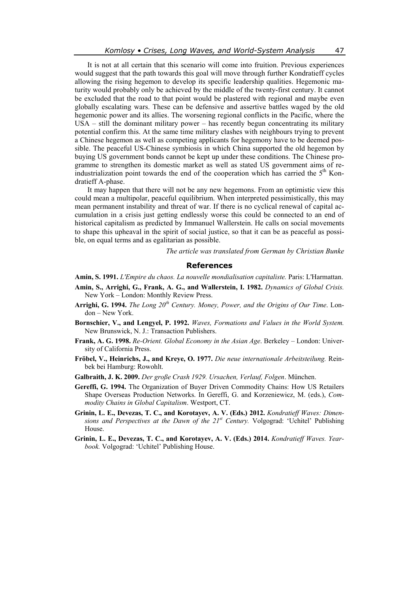It is not at all certain that this scenario will come into fruition. Previous experiences would suggest that the path towards this goal will move through further Kondratieff cycles allowing the rising hegemon to develop its specific leadership qualities. Hegemonic maturity would probably only be achieved by the middle of the twenty-first century. It cannot be excluded that the road to that point would be plastered with regional and maybe even globally escalating wars. These can be defensive and assertive battles waged by the old hegemonic power and its allies. The worsening regional conflicts in the Pacific, where the  $USA - still the dominant military power - has recently begun concentrating its military$ potential confirm this. At the same time military clashes with neighbours trying to prevent a Chinese hegemon as well as competing applicants for hegemony have to be deemed possible. The peaceful US-Chinese symbiosis in which China supported the old hegemon by buying US government bonds cannot be kept up under these conditions. The Chinese programme to strengthen its domestic market as well as stated US government aims of reindustrialization point towards the end of the cooperation which has carried the  $5<sup>th</sup>$  Kondratieff A-phase.

It may happen that there will not be any new hegemons. From an optimistic view this could mean a multipolar, peaceful equilibrium. When interpreted pessimistically, this may mean permanent instability and threat of war. If there is no cyclical renewal of capital accumulation in a crisis just getting endlessly worse this could be connected to an end of historical capitalism as predicted by Immanuel Wallerstein. He calls on social movements to shape this upheaval in the spirit of social justice, so that it can be as peaceful as possible, on equal terms and as egalitarian as possible.

*The article was translated from German by Christian Bunke* 

#### **References**

- **Amin, S. 1991.** *L'Empire du chaos. La nouvelle mondialisation capitaliste.* Paris: L'Harmattan.
- **Amin, S., Arrighi, G., Frank, A. G., and Wallerstein, I. 1982.** *Dynamics of Global Crisis.* New York – London: Monthly Review Press.
- **Arrighi, G. 1994.** *The Long 20th Century. Money, Power, and the Origins of Our Time*. London – New York.
- **Bornschier, V., and Lengyel, P. 1992.** *Waves, Formations and Values in the World System.*  New Brunswick, N. J.: Transaction Publishers.
- **Frank, A. G. 1998.** *Re-Orient. Global Economy in the Asian Age*. Berkeley London: University of California Press.
- **Fröbel, V., Heinrichs, J., and Kreye, O. 1977.** *Die neue internationale Arbeitsteilung.* Reinbek bei Hamburg: Rowohlt.
- **Galbraith, J. K. 2009.** *Der große Crash 1929. Ursachen, Verlauf, Folgen*. München.
- **Gereffi, G. 1994.** The Organization of Buyer Driven Commodity Chains: How US Retailers Shape Overseas Production Networks. In Gereffi, G. and Korzeniewicz, M. (eds.), *Commodity Chains in Global Capitalism*. Westport, CT.
- **Grinin, L. E., Devezas, T. C., and Korotayev, A. V. (Eds.) 2012.** *Kondratieff Waves: Dimensions and Perspectives at the Dawn of the*  $21^{st}$  *Century.* Volgograd: 'Uchitel' Publishing House.
- **Grinin, L. E., Devezas, T. C., and Korotayev, A. V. (Eds.) 2014.** *Kondratieff Waves. Yearbook.* Volgograd: 'Uchitel' Publishing House.